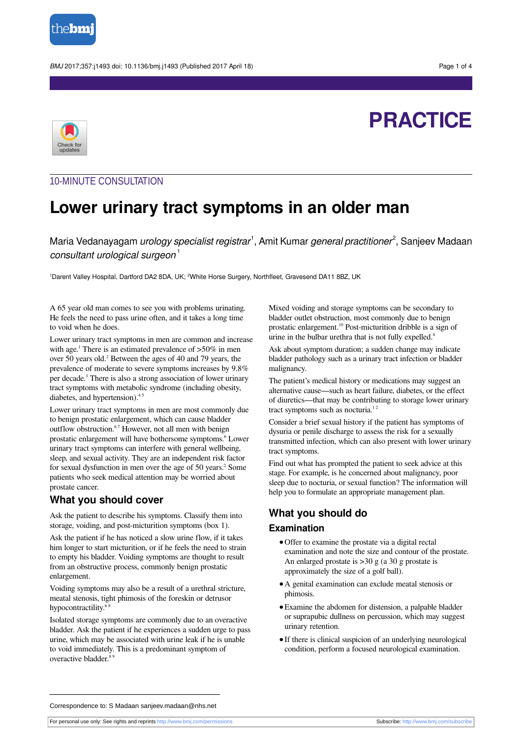

BMJ 2017;357:j1493 doi: 10.1136/bmj.j1493 (Published 2017 April 18) Page 1 of 4



# **PRACTICE**

## 10-MINUTE CONSULTATION

## **Lower urinary tract symptoms in an older man**

Maria Vedanayagam *urology specialist registrar<sup>1</sup>,* Amit Kumar *general practitioner<sup>2</sup>,* Sanjeev Madaan consultant urological surgeon<sup>1</sup>

<sup>1</sup>Darent Valley Hospital, Dartford DA2 8DA, UK; <sup>2</sup>White Horse Surgery, Northfleet, Gravesend DA11 8BZ, UK

A 65 year old man comes to see you with problems urinating. He feels the need to pass urine often, and it takes a long time to void when he does.

Lower urinary tract symptoms in men are common and increase with age.<sup>1</sup> There is an estimated prevalence of >50% in men over 50 years old.<sup>2</sup> Between the ages of 40 and 79 years, the prevalence of moderate to severe symptoms increases by 9.8% per decade. 3 There is also a strong association of lower urinary tract symptoms with metabolic syndrome (including obesity, diabetes, and hypertension).<sup>45</sup>

Lower urinary tract symptoms in men are most commonly due to benign prostatic enlargement, which can cause bladder outflow obstruction.<sup>67</sup> However, not all men with benign prostatic enlargement will have bothersome symptoms. 6 Lower urinary tract symptoms can interfere with general wellbeing, sleep, and sexual activity. They are an independent risk factor for sexual dysfunction in men over the age of 50 years. 2 Some patients who seek medical attention may be worried about prostate cancer.

### **What you should cover**

Ask the patient to describe his symptoms. Classify them into storage, voiding, and post-micturition symptoms (box 1).

Ask the patient if he has noticed a slow urine flow, if it takes him longer to start micturition, or if he feels the need to strain to empty his bladder. Voiding symptoms are thought to result from an obstructive process, commonly benign prostatic enlargement.

Voiding symptoms may also be a result of a urethral stricture, meatal stenosis, tight phimosis of the foreskin or detrusor hypocontractility.<sup>68</sup>

Isolated storage symptoms are commonly due to an overactive bladder. Ask the patient if he experiences a sudden urge to pass urine, which may be associated with urine leak if he is unable to void immediately. This is a predominant symptom of overactive bladder.<sup>89</sup>

Mixed voiding and storage symptoms can be secondary to bladder outlet obstruction, most commonly due to benign prostatic enlargement.<sup>10</sup> Post-micturition dribble is a sign of urine in the bulbar urethra that is not fully expelled.<sup>8</sup>

Ask about symptom duration; a sudden change may indicate bladder pathology such as a urinary tract infection or bladder malignancy.

The patient's medical history or medications may suggest an alternative cause—such as heart failure, diabetes, or the effect of diuretics—that may be contributing to storage lower urinary tract symptoms such as nocturia.<sup>12</sup>

Consider a brief sexual history if the patient has symptoms of dysuria or penile discharge to assess the risk for a sexually transmitted infection, which can also present with lower urinary tract symptoms.

Find out what has prompted the patient to seek advice at this stage. For example, is he concerned about malignancy, poor sleep due to nocturia, or sexual function? The information will help you to formulate an appropriate management plan.

## **What you should do**

#### **Examination**

- **•**Offer to examine the prostate via a digital rectal examination and note the size and contour of the prostate. An enlarged prostate is  $>30$  g (a 30 g prostate is approximately the size of a golf ball).
- **•**A genital examination can exclude meatal stenosis or phimosis.
- **•**Examine the abdomen for distension, a palpable bladder or suprapubic dullness on percussion, which may suggest urinary retention.
- **•**If there is clinical suspicion of an underlying neurological condition, perform a focused neurological examination.

Correspondence to: S Madaan sanjeev.madaan@nhs.net

For personal use only: See rights and reprints<http://www.bmj.com/permissions> Subscribe: <http://www.bmj.com/subscribe>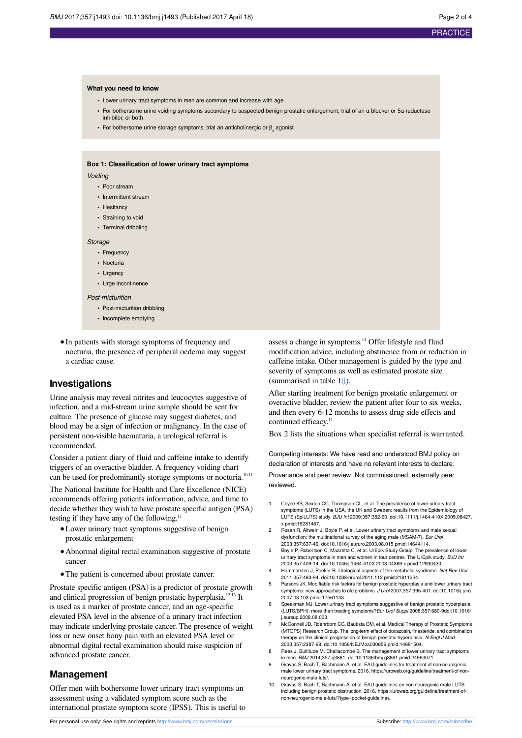#### **What you need to know**

- **•** Lower urinary tract symptoms in men are common and increase with age
- **•** For bothersome urine voiding symptoms secondary to suspected benign prostatic enlargement, trial of an α blocker or 5α-reductase inhibitor, or both
- For bothersome urine storage symptoms, trial an anticholinergic or β<sub>3</sub> agonist

#### **Box 1: Classification of lower urinary tract symptoms**

#### Voiding

- **•** Poor stream
- **•** Intermittent stream
- **•** Hesitancy
- **•** Straining to void
- **•** Terminal dribbling

#### Storage

- **•** Frequency
- **•** Nocturia
- **•** Urgency
- **•** Urge incontinence

#### Post-micturition

- **•** Post-micturition dribbling
- **•** Incomplete emptying
- **•**In patients with storage symptoms of frequency and nocturia, the presence of peripheral oedema may suggest a cardiac cause.

#### **Investigations**

Urine analysis may reveal nitrites and leucocytes suggestive of infection, and a mid-stream urine sample should be sent for culture. The presence of glucose may suggest diabetes, and blood may be a sign of infection or malignancy. In the case of persistent non-visible haematuria, a urological referral is recommended.

Consider a patient diary of fluid and caffeine intake to identify triggers of an overactive bladder. A frequency voiding chart can be used for predominantly storage symptoms or nocturia.<sup>1011</sup>

The National Institute for Health and Care Excellence (NICE) recommends offering patients information, advice, and time to decide whether they wish to have prostate specific antigen (PSA) testing if they have any of the following. $11$ 

- **•**Lower urinary tract symptoms suggestive of benign prostatic enlargement
- **•**Abnormal digital rectal examination suggestive of prostate cancer
- **•**The patient is concerned about prostate cancer.

Prostate specific antigen (PSA) is a predictor of prostate growth and clinical progression of benign prostatic hyperplasia.<sup>1213</sup> It is used as a marker of prostate cancer, and an age-specific elevated PSA level in the absence of a urinary tract infection may indicate underlying prostate cancer. The presence of weight loss or new onset bony pain with an elevated PSA level or abnormal digital rectal examination should raise suspicion of advanced prostate cancer.

#### **Management**

Offer men with bothersome lower urinary tract symptoms an assessment using a validated symptom score such as the international prostate symptom score (IPSS). This is useful to

For personal use only: See rights and reprints<http://www.bmj.com/permissions> Subscribe: <http://www.bmj.com/subscribe>

assess a change in symptoms. <sup>11</sup> Offer lifestyle and fluid modification advice, including abstinence from or reduction in caffeine intake. Other management is guided by the type and severity of symptoms as well as estimated prostate size (summarised in table 1[⇓\)](#page-3-0).

After starting treatment for benign prostatic enlargement or overactive bladder, review the patient after four to six weeks, and then every 6-12 months to assess drug side effects and continued efficacy.<sup>11</sup>

Box 2 lists the situations when specialist referral is warranted.

Competing interests: We have read and understood BMJ policy on declaration of interests and have no relevant interests to declare.

Provenance and peer review: Not commissioned; externally peer reviewed.

- 1 Coyne KS, Sexton CC, Thompson CL, et al. The prevalence of lower urinary tract symptoms (LUTS) in the USA, the UK and Sweden: results from the Epidemiology of LUTS (EpiLUTS) study. BJU Int 2009;357:352-60. [doi:10.1111/j.1464-410X.2009.08427.](http://dx.doi.org/10.1111/j.1464-410X.2009.08427.x) [x](http://dx.doi.org/10.1111/j.1464-410X.2009.08427.x) [pmid:19281467.](http://www.ncbi.nlm.nih.gov/pubmed/?term=19281467)
- 2 Rosen R, Altwein J, Boyle P, et al. Lower urinary tract symptoms and male sexual dysfunction: the multinational survey of the aging male (MSAM-7). Eur Urol 2003;357:637-49. [doi:10.1016/j.eururo.2003.08.015](http://dx.doi.org/10.1016/j.eururo.2003.08.015) [pmid:14644114](http://www.ncbi.nlm.nih.gov/pubmed/?term=14644114).
- 3 Boyle P, Robertson C, Mazzetta C, et al. UrEpik Study Group. The prevalence of lower urinary tract symptoms in men and women in four centres. The UrEpik study. BJU Int 2003;357:409-14. [doi:10.1046/j.1464-410X.2003.04369.x](http://dx.doi.org/10.1046/j.1464-410X.2003.04369.x) [pmid:12930430](http://www.ncbi.nlm.nih.gov/pubmed/?term=12930430).
- 4 Hammarsten J, Peeker R. Urological aspects of the metabolic syndrome. Nat Rev Urol 2011;357:483-94. [doi:10.1038/nrurol.2011.112](http://dx.doi.org/10.1038/nrurol.2011.112) [pmid:21811224.](http://www.ncbi.nlm.nih.gov/pubmed/?term=21811224)
- 5 Parsons JK. Modifiable risk factors for benign prostatic hyperplasia and lower urinary tract symptoms: new approaches to old problems. J Urol 2007;357:395-401. [doi:10.1016/j.juro.](http://dx.doi.org/10.1016/j.juro.2007.03.103) [2007.03.103](http://dx.doi.org/10.1016/j.juro.2007.03.103) [pmid:17561143](http://www.ncbi.nlm.nih.gov/pubmed/?term=17561143).
- 6 Speakman MJ. Lower urinary tract symptoms suggestive of benign prostatic hyperplasia<br>(LUTS/BPH): more than treating symptoms? Eur Urol Suppl 2008;357:680-9doi:10.1016 [j.eursup.2008.08.003](http://dx.doi.org/10.1016/j.eursup.2008.08.003).
- 7 McConnell JD, Roehrborn CG, Bautista OM, et al. Medical Therapy of Prostatic Symptoms (MTOPS) Research Group. The long-term effect of doxazosin, finasteride, and combination therapy on the clinical progression of benign prostatic hyperplasia. N Engl J Med 2003;357:2387-98. [doi:10.1056/NEJMoa030656](http://dx.doi.org/10.1056/NEJMoa030656) [pmid:14681504](http://www.ncbi.nlm.nih.gov/pubmed/?term=14681504).
- 8 Rees J, Bultitude M, Challacombe B. The management of lower urinary tract symptoms in men. BMJ 2014;357:g3861. [doi:10.1136/bmj.g3861](http://dx.doi.org/10.1136/bmj.g3861) [pmid:24963071](http://www.ncbi.nlm.nih.gov/pubmed/?term=24963071).
- 9 Gravas S, Bach T, Bachmann A, et al. EAU guidelines for treatment of non-neurogenic male lower urinary tract symptoms. 2016. https://uroweb.org/guideline/treatment-of-nonneurogenic-male-luts/.
- 10 Gravas S, Bach T, Bachmann A, et al. EAU guidelines on non-neurogenic male LUTS including benign prostatic obstruction. 2016. https://uroweb.org/guideline/treatment-ofnon-neurogenic-male-luts/?type=pocket-guidelines.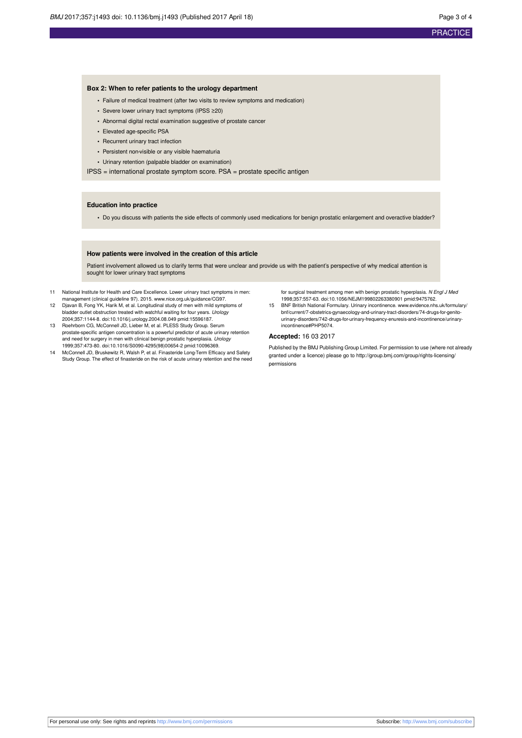#### **Box 2: When to refer patients to the urology department**

- **•** Failure of medical treatment (after two visits to review symptoms and medication)
- **•** Severe lower urinary tract symptoms (IPSS ≥20)
- **•** Abnormal digital rectal examination suggestive of prostate cancer
- **•** Elevated age-specific PSA
- **•** Recurrent urinary tract infection
- **•** Persistent non-visible or any visible haematuria
- **•** Urinary retention (palpable bladder on examination)

IPSS = international prostate symptom score. PSA = prostate specific antigen

#### **Education into practice**

**•** Do you discuss with patients the side effects of commonly used medications for benign prostatic enlargement and overactive bladder?

#### **How patients were involved in the creation of this article**

Patient involvement allowed us to clarify terms that were unclear and provide us with the patient's perspective of why medical attention is sought for lower urinary tract symptoms

- 11 National Institute for Health and Care Excellence. Lower urinary tract symptoms in men: management (clinical guideline 97). 2015. [www.nice.org.uk/guidance/CG97.](http://www.nice.org.uk/guidance/CG97)
- 12 Djavan B, Fong YK, Harik M, et al. Longitudinal study of men with mild symptoms of bladder outlet obstruction treated with watchful waiting for four years. Urology 2004;357:1144-8. [doi:10.1016/j.urology.2004.08.049](http://dx.doi.org/10.1016/j.urology.2004.08.049) [pmid:15596187](http://www.ncbi.nlm.nih.gov/pubmed/?term=15596187).
- 13 Roehrborn CG, McConnell JD, Lieber M, et al. PLESS Study Group. Serum prostate-specific antigen concentration is a powerful predictor of acute urinary retention and need for surgery in men with clinical benign prostatic hyperplasia. Urology 1999;357:473-80. [doi:10.1016/S0090-4295\(98\)00654-2](http://dx.doi.org/10.1016/S0090-4295(98)00654-2) [pmid:10096369](http://www.ncbi.nlm.nih.gov/pubmed/?term=10096369). 14 McConnell JD, Bruskewitz R, Walsh P, et al. Finasteride Long-Term Efficacy and Safety
- Study Group. The effect of finasteride on the risk of acute urinary retention and the need

for surgical treatment among men with benign prostatic hyperplasia. N Engl J Med 1998;357:557-63. [doi:10.1056/NEJM199802263380901](http://dx.doi.org/10.1056/NEJM199802263380901) [pmid:9475762.](http://www.ncbi.nlm.nih.gov/pubmed/?term=9475762)

15 BNF British National Formulary. Urinary incontinence. [www.evidence.nhs.uk/formulary/](http://www.evidence.nhs.uk/formulary/bnf/current/7-obstetrics-gynaecology-and-urinary-tract-disorders/74-drugs-for-genito-urinary-disorders/742-drugs-for-urinary-frequency-enuresis-and-incontinence/urinary-incontinence#PHP5074) [bnf/current/7-obstetrics-gynaecology-and-urinary-tract-disorders/74-drugs-for-genito](http://www.evidence.nhs.uk/formulary/bnf/current/7-obstetrics-gynaecology-and-urinary-tract-disorders/74-drugs-for-genito-urinary-disorders/742-drugs-for-urinary-frequency-enuresis-and-incontinence/urinary-incontinence#PHP5074)[urinary-disorders/742-drugs-for-urinary-frequency-enuresis-and-incontinence/urinary](http://www.evidence.nhs.uk/formulary/bnf/current/7-obstetrics-gynaecology-and-urinary-tract-disorders/74-drugs-for-genito-urinary-disorders/742-drugs-for-urinary-frequency-enuresis-and-incontinence/urinary-incontinence#PHP5074)[incontinence#PHP5074](http://www.evidence.nhs.uk/formulary/bnf/current/7-obstetrics-gynaecology-and-urinary-tract-disorders/74-drugs-for-genito-urinary-disorders/742-drugs-for-urinary-frequency-enuresis-and-incontinence/urinary-incontinence#PHP5074).

#### **Accepted:** 16 03 2017

Published by the BMJ Publishing Group Limited. For permission to use (where not already granted under a licence) please go to [http://group.bmj.com/group/rights-licensing/](http://group.bmj.com/group/rights-licensing/permissions) [permissions](http://group.bmj.com/group/rights-licensing/permissions)